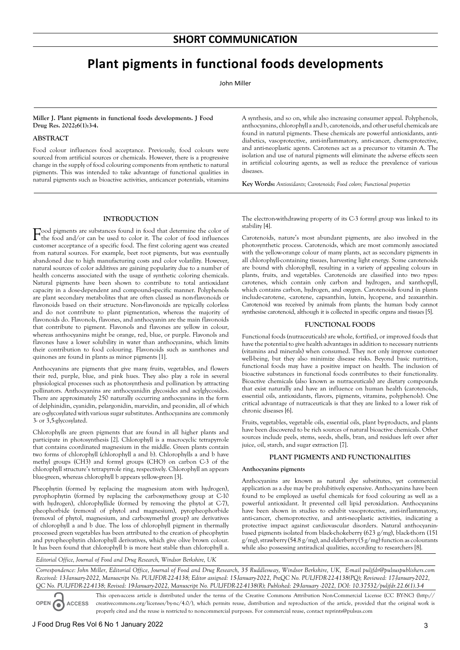# **Plant pigments in functional foods developments**

John Miller

## **Miller J. Plant pigments in functional foods developments. J Food Drug Res. 2022;6(1):3-4.**

# **ABSTRACT**

Food colour influences food acceptance. Previously, food colours were sourced from artificial sources or chemicals. However, there is a progressive change in the supply of food colouring components from synthetic to natural pigments. This was intended to take advantage of functional qualities in natural pigments such as bioactive activities, anticancer potentials, vitamins

A synthesis, and so on, while also increasing consumer appeal. Polyphenols, anthocyanins, chlorophyll a and b, carotenoids, and other useful chemicals are found in natural pigments. These chemicals are powerful antioxidants, antidiabetics, vasoprotective, anti-inflammatory, anti-cancer, chemoprotective, and anti-neoplastic agents. Carotenes act as a precursor to vitamin A. The isolation and use of natural pigments will eliminate the adverse effects seen in artificial colouring agents, as well as reduce the prevalence of various diseases.

**Key Words:** *Antioxidants; Carotenoids; Food colors; Functional properties*

# **INTRODUCTION**

Food pigments are substances found in food that determine the color of the food and/or can be used to color it. The color of food influences customer acceptance of a specific food. The first coloring agent was created from natural sources. For example, beet root pigments, but was eventually abandoned due to high manufacturing costs and color volatility. However, natural sources of color additives are gaining popularity due to a number of health concerns associated with the usage of synthetic coloring chemicals. Natural pigments have been shown to contribute to total antioxidant capacity in a dose-dependent and compound-specific manner. Polyphenols are plant secondary metabolites that are often classed as non-flavonoids or flavonoids based on their structure. Non-flavonoids are typically colorless and do not contribute to plant pigmentation, whereas the majority of flavonoids do. Flavonols, flavones, and anthocyanin are the main flavonoids that contribute to pigment. Flavonols and flavones are yellow in colour, whereas anthocyanins might be orange, red, blue, or purple. Flavonols and flavones have a lower solubility in water than anthocyanins, which limits their contribution to food colouring. Flavonoids such as xanthones and quinones are found in plants as minor pigments [1].

Anthocyanins are pigments that give many fruits, vegetables, and flowers their red, purple, blue, and pink hues. They also play a role in several physiological processes such as photosynthesis and pollination by attracting pollinators. Anthocyanins are anthocyanidin glycosides and acylglycosides. There are approximately 250 naturally occurring anthocyanins in the form of delphinidin, cyanidin, pelargonidin, marvidin, and peonidin, all of which are o-glycosylated with various sugar substitutes. Anthocyanins are commonly 3- or 3,5-glycosylated.

Chlorophylls are green pigments that are found in all higher plants and participate in photosynthesis [2]. Chlorophyll is a macrocyclic tetrapyrrole that contains coordinated magnesium in the middle. Green plants contain two forms of chlorophyll (chlorophyll a and b). Chlorophylls a and b have methyl groups (CH3) and formyl groups (CHO) on carbon C-3 of the chlorophyll structure's tetrapyrrole ring, respectively. Chlorophyll an appears blue-green, whereas chlorophyll b appears yellow-green [3].

Pheophytin (formed by replacing the magnesium atom with hydrogen), pyrophophytin (formed by replacing the carboxymethoxy group at C-10 with hydrogen), chlorophyllide (formed by removing the phytol at C-7), pheophorbide (removal of phytol and magnesium), pyropheophorbide (removal of phytol, magnesium, and carboxymethyl group) are derivatives of chlorophyll a and b due. The loss of chlorophyll pigment in thermally processed green vegetables has been attributed to the creation of pheophytin and pyropheophytin chlorophyll derivatives, which give olive brown colour. It has been found that chlorophyll b is more heat stable than chlorophyll a.

The electron-withdrawing property of its C-3 formyl group was linked to its stability [4].

Carotenoids, nature's most abundant pigments, are also involved in the photosynthetic process. Carotenoids, which are most commonly associated with the yellow-orange colour of many plants, act as secondary pigments in all chlorophyll-containing tissues, harvesting light energy. Some carotenoids are bound with chlorophyll, resulting in a variety of appealing colours in plants, fruits, and vegetables. Carotenoids are classified into two types: carotenes, which contain only carbon and hydrogen, and xanthopyll, which contains carbon, hydrogen, and oxygen. Carotenoids found in plants include-carotene, -carotene, capsanthin, lutein, lycopene, and zeaxanthin. Carotenoid was received by animals from plants; the human body cannot synthesise carotenoid, although it is collected in specific organs and tissues [5].

#### **FUNCTIONAL FOODS**

Functional foods (nutraceuticals) are whole, fortified, or improved foods that have the potential to give health advantages in addition to necessary nutrients (vitamins and minerals) when consumed. They not only improve customer well-being, but they also minimize disease risks. Beyond basic nutrition, functional foods may have a positive impact on health. The inclusion of bioactive substances in functional foods contributes to their functionality. Bioactive chemicals (also known as nutraceuticals) are dietary compounds that exist naturally and have an influence on human health (carotenoids, essential oils, antioxidants, flavors, pigments, vitamins, polyphenols). One critical advantage of nutraceuticals is that they are linked to a lower risk of chronic diseases [6].

Fruits, vegetables, vegetable oils, essential oils, plant by-products, and plants have been discovered to be rich sources of natural bioactive chemicals. Other sources include peels, stems, seeds, shells, bran, and residues left over after juice, oil, starch, and sugar extraction [7].

# **PLANT PIGMENTS AND FUNCTIONALITIES**

#### **Anthocyanins pigments**

Anthocyanins are known as natural dye substitutes, yet commercial application as a dye may be prohibitively expensive. Anthocyanins have been found to be employed as useful chemicals for food colouring as well as a powerful antioxidant. It prevented cell lipid peroxidation. Anthocyanins have been shown in studies to exhibit vasoprotective, anti-inflammatory, anti-cancer, chemoprotective, and anti-neoplastic activities, indicating a protective impact against cardiovascular disorders. Natural anthocyaninbased pigments isolated from black-chokeberry (623 g/mg), black-thorn (151  $g/mg$ ), strawberry (54.8  $g/mg$ ), and elderberry (5  $g/mg$ ) function as colourants while also possessing antiradical qualities, according to researchers [8].

*Editorial Office, Journal of Food and Drug Research, Windsor Berkshire, UK*

*Correspondence: John Miller, Editorial Office, Journal of Food and Drug Research, 35 Ruddlesway, Windsor Berkshire, UK, E-mail puljfdr@pulsuspublishers.com Received: 13-January-2022, Manuscript No. PULJFDR-22-4138; Editor assigned: 15-January-2022, PreQC No. PULJFDR-22-4138(PQ); Reviewed: 17-January-2022, QC No. PULJFDR-22-4138; Revised: 19-January-2022, Manuscript No. PULJFDR-22-4138(R); Published: 29-January -2022, DOI: 10.37532/puljfdr.22.6(1).3-4*

**OPEN ACCESS** This open-access article is distributed under the terms of the Creative Commons Attribution Non-Commercial License (CC BY-NC) (http:// creativecommons.org/licenses/by-nc/4.0/), which permits reuse, distribution and reproduction of the article, provided that the original work is properly cited and the reuse is restricted to noncommercial purposes. For commercial reuse, contact reprints@pulsus.com